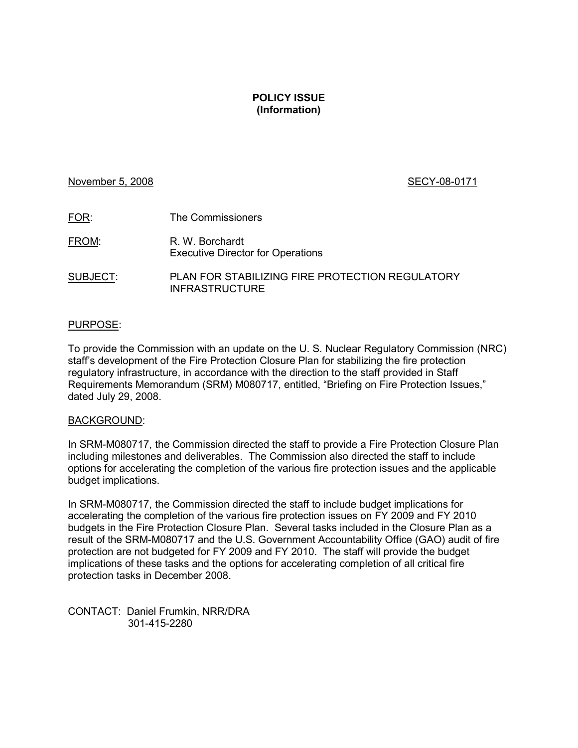## **POLICY ISSUE (Information)**

## November 5, 2008 SECY-08-0171

| FOR:     | The Commissioners                                                        |
|----------|--------------------------------------------------------------------------|
| FROM:    | R. W. Borchardt<br><b>Executive Director for Operations</b>              |
| SUBJECT: | PLAN FOR STABILIZING FIRE PROTECTION REGULATORY<br><b>INFRASTRUCTURE</b> |

#### PURPOSE:

To provide the Commission with an update on the U. S. Nuclear Regulatory Commission (NRC) staff's development of the Fire Protection Closure Plan for stabilizing the fire protection regulatory infrastructure, in accordance with the direction to the staff provided in Staff Requirements Memorandum (SRM) M080717, entitled, "Briefing on Fire Protection Issues," dated July 29, 2008.

#### BACKGROUND:

In SRM-M080717, the Commission directed the staff to provide a Fire Protection Closure Plan including milestones and deliverables. The Commission also directed the staff to include options for accelerating the completion of the various fire protection issues and the applicable budget implications.

In SRM-M080717, the Commission directed the staff to include budget implications for accelerating the completion of the various fire protection issues on FY 2009 and FY 2010 budgets in the Fire Protection Closure Plan. Several tasks included in the Closure Plan as a result of the SRM-M080717 and the U.S. Government Accountability Office (GAO) audit of fire protection are not budgeted for FY 2009 and FY 2010. The staff will provide the budget implications of these tasks and the options for accelerating completion of all critical fire protection tasks in December 2008.

CONTACT: Daniel Frumkin, NRR/DRA 301-415-2280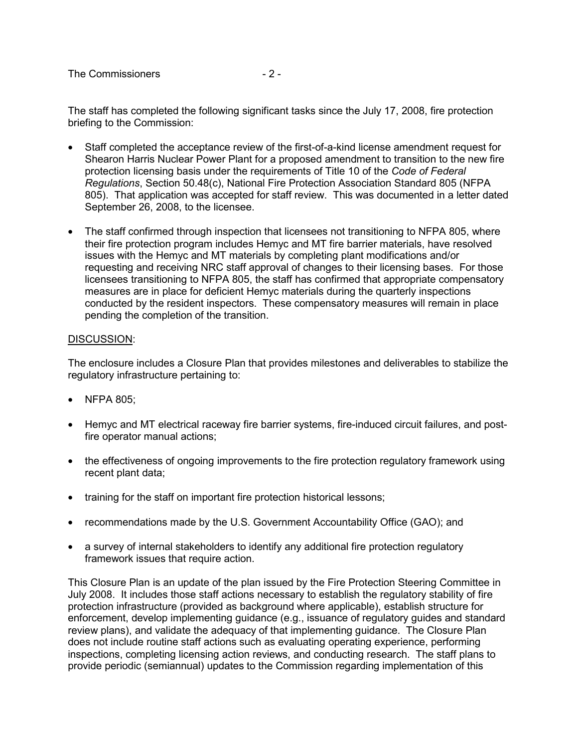The staff has completed the following significant tasks since the July 17, 2008, fire protection briefing to the Commission:

- Staff completed the acceptance review of the first-of-a-kind license amendment request for Shearon Harris Nuclear Power Plant for a proposed amendment to transition to the new fire protection licensing basis under the requirements of Title 10 of the *Code of Federal Regulations*, Section 50.48(c), National Fire Protection Association Standard 805 (NFPA 805). That application was accepted for staff review. This was documented in a letter dated September 26, 2008, to the licensee.
- The staff confirmed through inspection that licensees not transitioning to NFPA 805, where their fire protection program includes Hemyc and MT fire barrier materials, have resolved issues with the Hemyc and MT materials by completing plant modifications and/or requesting and receiving NRC staff approval of changes to their licensing bases. For those licensees transitioning to NFPA 805, the staff has confirmed that appropriate compensatory measures are in place for deficient Hemyc materials during the quarterly inspections conducted by the resident inspectors. These compensatory measures will remain in place pending the completion of the transition.

## DISCUSSION:

The enclosure includes a Closure Plan that provides milestones and deliverables to stabilize the regulatory infrastructure pertaining to:

- NFPA 805:
- Hemyc and MT electrical raceway fire barrier systems, fire-induced circuit failures, and postfire operator manual actions;
- the effectiveness of ongoing improvements to the fire protection regulatory framework using recent plant data;
- training for the staff on important fire protection historical lessons;
- recommendations made by the U.S. Government Accountability Office (GAO); and
- a survey of internal stakeholders to identify any additional fire protection regulatory framework issues that require action.

This Closure Plan is an update of the plan issued by the Fire Protection Steering Committee in July 2008. It includes those staff actions necessary to establish the regulatory stability of fire protection infrastructure (provided as background where applicable), establish structure for enforcement, develop implementing guidance (e.g., issuance of regulatory guides and standard review plans), and validate the adequacy of that implementing guidance. The Closure Plan does not include routine staff actions such as evaluating operating experience, performing inspections, completing licensing action reviews, and conducting research. The staff plans to provide periodic (semiannual) updates to the Commission regarding implementation of this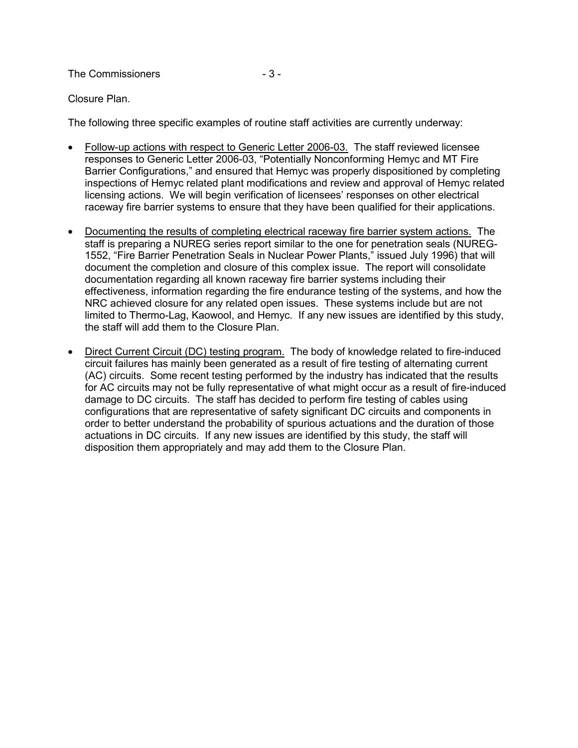The Commissioners  $-3-$ 

## Closure Plan.

The following three specific examples of routine staff activities are currently underway:

- Follow-up actions with respect to Generic Letter 2006-03. The staff reviewed licensee responses to Generic Letter 2006-03, "Potentially Nonconforming Hemyc and MT Fire Barrier Configurations," and ensured that Hemyc was properly dispositioned by completing inspections of Hemyc related plant modifications and review and approval of Hemyc related licensing actions. We will begin verification of licensees' responses on other electrical raceway fire barrier systems to ensure that they have been qualified for their applications.
- Documenting the results of completing electrical raceway fire barrier system actions.The staff is preparing a NUREG series report similar to the one for penetration seals (NUREG-1552, "Fire Barrier Penetration Seals in Nuclear Power Plants," issued July 1996) that will document the completion and closure of this complex issue. The report will consolidate documentation regarding all known raceway fire barrier systems including their effectiveness, information regarding the fire endurance testing of the systems, and how the NRC achieved closure for any related open issues. These systems include but are not limited to Thermo-Lag, Kaowool, and Hemyc. If any new issues are identified by this study, the staff will add them to the Closure Plan.
- Direct Current Circuit (DC) testing program.The body of knowledge related to fire-induced circuit failures has mainly been generated as a result of fire testing of alternating current (AC) circuits. Some recent testing performed by the industry has indicated that the results for AC circuits may not be fully representative of what might occur as a result of fire-induced damage to DC circuits. The staff has decided to perform fire testing of cables using configurations that are representative of safety significant DC circuits and components in order to better understand the probability of spurious actuations and the duration of those actuations in DC circuits. If any new issues are identified by this study, the staff will disposition them appropriately and may add them to the Closure Plan.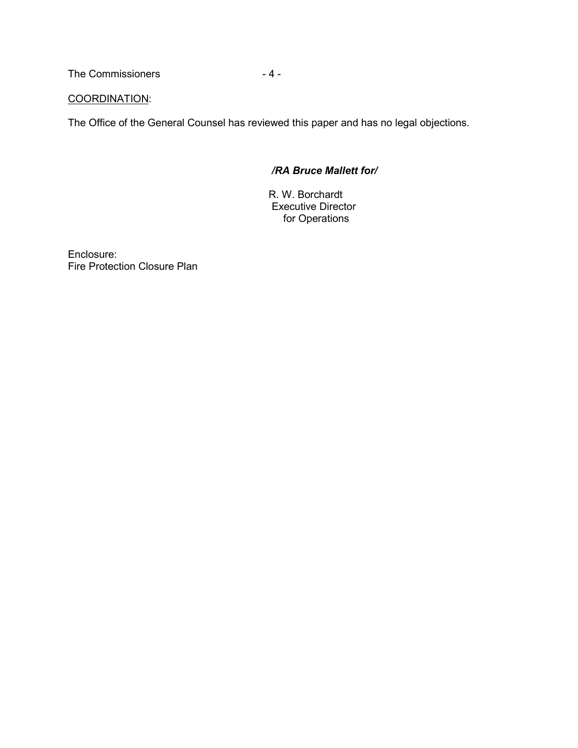The Commissioners  $-4-$ 

## COORDINATION:

The Office of the General Counsel has reviewed this paper and has no legal objections.

## */RA Bruce Mallett for/*

R. W. Borchardt Executive Director for Operations

Enclosure: Fire Protection Closure Plan